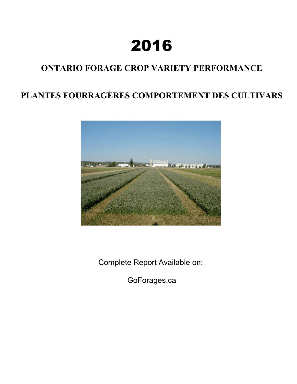# **2016**

# **ONTARIO FORAGE CROP VARIETY PERFORMANCE**

# **PLANTES FOURRAGÈRES COMPORTEMENT DES CULTIVARS**



Complete Report Available on:

GoForages.ca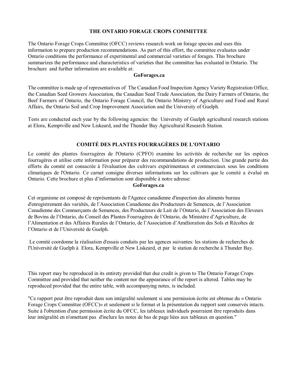# **THE ONTARIO FORAGE CROPS COMMITTEE**

The Ontario Forage Crops Committee (OFCC) reviews research work on forage species and uses this information to prepare production recommendations. As part of this effort, the committee evaluates under Ontario conditions the performance of experimental and commercial varieties of forages. This brochure summarizes the performance and characteristics of varieties that the committee has evaluated in Ontario. The brochure and further information are available at:

#### **GoForages.ca**

The committee is made up of representatives of The Canadian Food Inspection Agency Variety Registration Office, the Canadian Seed Growers Association, the Canadian Seed Trade Association, the Dairy Farmers of Ontario, the Beef Farmers of Ontario, the Ontario Forage Council, the Ontario Ministry of Agriculture and Food and Rural Affairs, the Ontario Soil and Crop Improvement Association and the University of Guelph.

Tests are conducted each year by the following agencies: the University of Guelph agricultural research stations at Elora, Kemptville and New Liskeard, and the Thunder Bay Agricultural Research Station.

# **COMITÉ DES PLANTES FOURRAGÈRES DE L'ONTARIO**

Le comité des plantes fourragères de l'Ontario (CPFO) examine les activités de recherche sur les espèces fourragères et utilise cette information pour préparer des recommandations de production. Une grande partie des efforts du comité est consacrée à l'évaluation des cultivars expérimentaux et commerciaux sous les conditions climatiques de l'Ontario. Ce carnet consigne diverses informations sur les cultivars que le comité a évalué en Ontario. Cette brochure et plus d'information sont disponible à notre adresse:

### **GoForages.ca**

Cet organisme est composé de représentants de l'Agence canadienne d'inspection des aliments bureau d'enregistrement des variétés, de l'Association Canadienne des Producteurs de Semences, de l'Association Canadienne des Commerçants de Semences, des Producteurs de Lait de l'Ontario, de l'Association des Eleveurs de Bovins de l'Ontario, du Conseil des Plantes Fourragères de l'Ontario, du Ministère d'Agriculture, de l'Alimentation et des Affaires Rurales de l'Ontario, de l'Association d'Amélioration des Sols et Récoltes de l'Ontario et de l'Université de Guelph.

Le comité coordonne la réalisation d'essais conduits par les agences suivantes: les stations de recherches de l'Université de Guelph à Elora, Kemptville et New Liskeard, et par le station de recherche à Thunder Bay.

This report may be reproduced in its entirety provided that due credit is given to The Ontario Forage Crops Committee and provided that neither the content nor the appearance of the report is altered. Tables may be reproduced provided that the entire table, with accompanying notes, is included.

"Ce rapport peut être reproduit dans son intégralité seulement si une permission écrite est obtenue du « Ontario Forage Crops Committee (OFCC)» et seulement si le format et la présentation du rapport sont conservés intacts. Suite à l'obtention d'une permission écrite du OFCC, les tableaux individuels pourraient être reproduits dans leur intégralité en n'omettant pas d'inclure les notes de bas de page liées aux tableaux en question."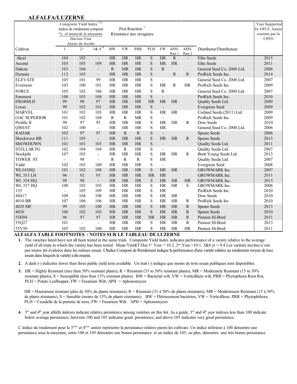# **ALFALFA/LUZERNE**

|                     | Indice de rendement composé | Composite Yield Index<br>% of mean/de la moyenne<br>Harvest Year<br>Année de récolte | 1,2                      |              |              | Pest Reaction <sup>3</sup><br>Résistance aux ravageurs |                         |                |                |                |                            | Year Supported<br>by OFCC Année<br>soutenu par le<br><b>CPFO</b> |
|---------------------|-----------------------------|--------------------------------------------------------------------------------------|--------------------------|--------------|--------------|--------------------------------------------------------|-------------------------|----------------|----------------|----------------|----------------------------|------------------------------------------------------------------|
| Cultivar            | $\mathbf{1}$                | $2+$                                                                                 | $3 & 4^4$                | $\rm BW$     | <b>VW</b>    | PRR                                                    | PLH                     | ${\rm FW}$     | APH-<br>Race 1 | APH-<br>Race 2 | Distributor/Distributeur   |                                                                  |
| Akori               | 104                         | 103                                                                                  | $\mathbb{L}$             | HR           | HR           | HR                                                     | $\overline{\mathbf{S}}$ | HR             | $\overline{R}$ | $\overline{a}$ | <b>Elite Seeds</b>         | 2015                                                             |
| Ascend              | 103                         | 105                                                                                  | 109                      | <b>HR</b>    | <b>HR</b>    | <b>HR</b>                                              | S                       | <b>HR</b>      | <b>HR</b>      |                | <b>Elite Seeds</b>         | 2011                                                             |
| Dakota              | 103                         | 104                                                                                  | $\overline{\phantom{a}}$ | $\mathbf R$  | <b>MR</b>    | <b>HR</b>                                              | S                       | $\mathbf R$    |                |                | General Seed Co. 2000 Ltd. | 2006                                                             |
| Dynasty             | 112                         | 105                                                                                  | $\overline{\phantom{a}}$ | <b>HR</b>    | <b>HR</b>    | <b>HR</b>                                              | $\mathbf S$             |                | $\mathbf R$    | R.             | ProRich Seeds Inc.         | 2014                                                             |
| <b>ELEVATE</b>      | 105                         | 101                                                                                  | 99                       | <b>HR</b>    | <b>HR</b>    | <b>HR</b>                                              | S                       | $\overline{a}$ |                |                | General Seed Co. 2000 Ltd. | 2007                                                             |
| Evermore            | 103                         | 100                                                                                  | 101                      | <b>HR</b>    | HR           | <b>HR</b>                                              | S                       | <b>HR</b>      | $\mathbb{R}$   | <b>HR</b>      | ProRich Seeds Inc.         | 2009                                                             |
| <b>FORCE</b>        | 105                         | 102                                                                                  | 106                      | HR           | HR           | <b>HR</b>                                              | $\mathbf S$             | $\mathbf R$    |                |                | General Seed Co. 2000 Ltd. | 2007                                                             |
| Foremost            | 100                         | 103                                                                                  | 104                      | <b>HR</b>    | <b>HR</b>    | <b>HR</b>                                              | S                       |                |                |                | ProRich Seeds Inc.         | 2010                                                             |
| FSG400LH            | 99                          | 98                                                                                   | 97                       | <b>HR</b>    | <b>HR</b>    | <b>HR</b>                                              | <b>HR</b>               | <b>HR</b>      | <b>HR</b>      |                | Quality Seeds Ltd.         | 2009                                                             |
| Lexus               | 99                          | 102                                                                                  | 101                      | HR           | <b>HR</b>    | HR                                                     | $\mathbf S$             | $\frac{1}{2}$  |                |                | Evergreen Seed             | 2009                                                             |
| <b>MARVEL</b>       | 101                         | 103                                                                                  | 105                      | <b>HR</b>    | <b>HR</b>    | <b>HR</b>                                              | S                       | <b>HR</b>      | <b>HR</b>      |                | Corland Seeds.(2011) Ltd.  | 2009                                                             |
| <b>OAC SUPERIOR</b> | 101                         | 102                                                                                  | 104                      | ${\bf R}$    | ${\bf R}$    | <b>MR</b>                                              | S                       | $\overline{a}$ |                |                | ProRich Seeds Inc.         | 2009                                                             |
| Prolific II         | 99                          | 97                                                                                   | 95                       | <b>HR</b>    | <b>HR</b>    | <b>HR</b>                                              | $\mathbf S$             | <b>HR</b>      | <b>HR</b>      | $\mathbb{R}$   | Dow Seeds                  | 2010                                                             |
| QWEST               | 102                         | 100                                                                                  | $\overline{\phantom{a}}$ | <b>HR</b>    | HR           | <b>HR</b>                                              | $\rm S$                 | HR             |                |                | General Seed Co. 2000 Ltd. | 2006                                                             |
| <b>RADAR</b>        | 102                         | 97                                                                                   | 97                       | <b>HR</b>    | $\mathbb{R}$ | ${\bf R}$                                              | $\mathbf S$             | $\overline{a}$ |                |                | <b>Speare Seeds</b>        | 2006                                                             |
| Shockwave BR        | 111                         | 105                                                                                  | $\mathcal{L}$            | <b>HR</b>    | <b>HR</b>    | <b>HR</b>                                              | S                       | <b>HR</b>      | <b>HR</b>      | $\mathbf{R}$   | <b>Speare Seeds</b>        | 2013                                                             |
| <b>SHOWDOWN</b>     | 101                         | 101                                                                                  | 103                      | <b>HR</b>    | <b>HR</b>    | <b>HR</b>                                              | $\mathbf S$             | $\blacksquare$ |                |                | Quality Seeds Ltd.         | 2011                                                             |
| <b>STELLAR FG</b>   | 102                         | 104                                                                                  | 104                      | <b>HR</b>    | $\mathbb{R}$ | <b>HR</b>                                              | S                       | $\overline{a}$ |                |                | Quality Seeds Ltd.         | 2007                                                             |
| Stockpile           | 107                         | 103                                                                                  | $\overline{\phantom{a}}$ | <b>HR</b>    | HR           | HR                                                     | S                       | <b>HR</b>      | <b>HR</b>      | $\mathbb{R}$   | Brett Young Seeds Ltd.     | 2013                                                             |
| <b>TOWER ST</b>     | L,                          | 98                                                                                   | $\blacksquare$           | $\mathbb{R}$ | $\mathbb{R}$ | $\mathbb{R}$                                           | S                       | HR             |                |                | Quality Seeds Ltd.         | 2007                                                             |
| Valid               | 102                         | 103                                                                                  | 100                      | <b>HR</b>    | <b>HR</b>    | <b>HR</b>                                              | S                       | $\overline{a}$ |                |                | Evergreen Seed             | 2008                                                             |
| WL343HQ             | 101                         | 102                                                                                  | 108                      | <b>HR</b>    | <b>HR</b>    | <b>HR</b>                                              | S                       | HR             | <b>HR</b>      |                | GROWMARK Inc.              | 2007                                                             |
| <b>WL 353 LH</b>    | 96                          | 92                                                                                   | 93                       | HR           | <b>HR</b>    | HR                                                     | <b>HR</b>               | <b>HR</b>      |                |                | GROWMARK Inc.              | 2011                                                             |
| <b>WL 354 HO</b>    | 99                          | 98                                                                                   | $\mathbb{L}$             | <b>HR</b>    | <b>HR</b>    | <b>HR</b>                                              | S                       | <b>HR</b>      | <b>HR</b>      | <b>HR</b>      | <b>GROWMARK</b> Inc        | 2013                                                             |
| <b>WL 357 HQ</b>    | 100                         | 102                                                                                  | 105                      | <b>HR</b>    | <b>HR</b>    | HR                                                     | S                       | <b>HR</b>      | <b>HR</b>      | S              | GROWMARK Inc.              | 2006                                                             |
| 135                 | $\blacksquare$              | 105                                                                                  | 109                      | <b>HR</b>    | <b>HR</b>    | <b>HR</b>                                              | S                       | <b>HR</b>      |                |                | ProRich Seeds Inc.         | 2010                                                             |
| 4S417               | 109                         | 104                                                                                  | 108                      | <b>HR</b>    | <b>HR</b>    | HR                                                     | S                       | HR             | <b>HR</b>      |                | Dow Seeds                  | 2010                                                             |
| 4010 BR             | 107                         | 106                                                                                  | 106                      | HR           | <b>HR</b>    | <b>HR</b>                                              | S                       | <b>HR</b>      | <b>HR</b>      | $\mathbb{R}$   | ProRich Seeds Inc          | 2010                                                             |
| 4020 MF             | 99                          | 105                                                                                  | 100                      | <b>HR</b>    | <b>HR</b>    | <b>HR</b>                                              | S                       | <b>HR</b>      | <b>HR</b>      | $\mathbb{R}$   | <b>Speare Seeds</b>        | 2013                                                             |
| 4030                | 106                         | 102                                                                                  | 103                      | <b>HR</b>    | <b>HR</b>    | <b>HR</b>                                              | $\mathbf S$             | <b>HR</b>      | <b>HR</b>      | ${\bf R}$      | <b>Speare Seeds</b>        | 2010                                                             |
| 55H94               | 96                          | 97                                                                                   | 97                       | <b>HR</b>    | <b>HR</b>    | <b>HR</b>                                              | <b>HR</b>               | <b>HR</b>      | <b>HR</b>      | $\mathbf R$    | Pioneer Hi-Bred            | 2011                                                             |
| 55Q27               | 101                         | $\overline{a}$                                                                       | $\overline{\phantom{a}}$ | <b>HR</b>    | <b>HR</b>    | <b>HR</b>                                              | S                       | <b>HR</b>      | <b>HR</b>      | $\mathbb{R}$   | Pioneer Hi-Bred            | 2013                                                             |
| 55V50               | 105                         | 102                                                                                  | 100                      | <b>HR</b>    | <b>HR</b>    | <b>HR</b>                                              | S                       | <b>HR</b>      | <b>HR</b>      | <b>HR</b>      | Pioneer Hi-Bred            | 2011                                                             |

**ALFALFA TABLE FOOTNOTES / NOTES SUR LE TABLEAU DE LUZERNE**

**1.** The varieties listed have not all been tested in the same trials. Composite Yield Index indicates performance of a variety relative to the average yield of all trials in which the variety has been tested. Mean Yield(T/Ha) 1<sup>st</sup> Year = 10.2, 2<sup>nd</sup> Year = 10.1, 3&4 yr = 9.4 Les variétés incrites n'ont pas toutes été évaluées dans les mêmes essais. L'Indice Composé de Rendement indique la performance d'une variété relative au rendement moyen de tous essais dans lesquels la variété a été essayée.

- **2.** A dash (-) indicates fewer than three public yield tests available. Un trait (-) indique que moins de trois essais publiques sont disponibles.
- **3.** HR = Highly Resistant (mre than 50% resistant plants), R = Resistant (31 to 50% resistant plants), MR = Moderately Resistant (15 to 30% resistant plants), S = Susceptible (less than 15% resistant plants). BW = Bacterial wilt, VW = Verticillium wilt, PRR = Phytopthora Root Rot,  $PLH =$  Potato Leafhopper,  $FW =$  Fusarium Wilt;  $APH =$  Aphonomyces

HR = Hautement résistant (plus de 50% de plants résistants), R = Résistant (31 à 50% de plants résistants), MR = Modérément Résistant (15 à 30% de plants résistants), S = Sensible (moins de 15% de plants résistants). BW = Flétrissement bactérien, VW = Verticilliose, PRR = Phytophthora, PLH = Cicadelle de la pomme de terre, FW = Fusarium Wilt. APH = Aphonomyces

4.  $3<sup>rd</sup>$  and 4<sup>th</sup> year alfalfa indexes indicate relative persistence among varieties on this list. As a guide,  $3<sup>rd</sup>$  and 4<sup>th</sup> year indexes less than 100 indicate below average persistence, between 100 and 105 indicates good persistence, and above 105 indicates very good persistence.

L'indice du rendement pour la 3<sup>ième</sup> et 4<sup>ième</sup> année représente la persistance relative parmi les cultivars. Un indice inférieur à 100 démontre une persistance sous la moyenne, entre 100 et 105 démontre une bonne persistance et un indice de 105, ou plus, démontre une très bonne persistance.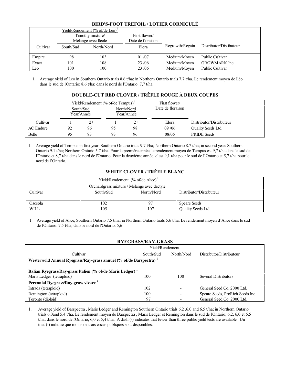# **BIRD'S-FOOT TREFOIL / LOTIER CORNICULÉ**

|                  |                     | Yield/Rendement (% of/de Leo) <sup>1</sup> |                   |                 |                         |
|------------------|---------------------|--------------------------------------------|-------------------|-----------------|-------------------------|
| Timothy mixture/ |                     | First flower/                              |                   |                 |                         |
|                  | Mélange avec fléole |                                            | Date de floraison |                 |                         |
| Cultivar         | South/Sud           | North/Nord                                 | Elora             | Regrowth/Regain | Distributor/Distibuteur |
| Empire           | 98                  | 103                                        | 01/07             | Medium/Moyen    | <b>Public Cultivar</b>  |
| Exact            | 101                 | 108                                        | 23/06             | Medium/Moyen    | <b>GROWMARK</b> Inc.    |
| Leo              | 100                 | 100                                        | 23/06             | Medium/Moyen    | <b>Public Cultivar</b>  |

1. Average yield of Leo in Southern Ontario trials 8.6 t/ha; in Northern Ontario trials 7.7 t/ha. Le rendement moyen de Léo dans le sud de l'Ontario: 8,6 t/ha; dans le nord de l'Ontario: 7,7 t/ha.

# **DOUBLE-CUT RED CLOVER / TRÈFLE ROUGE À DEUX COUPES**

|           |    |                         | Yield/Rendement $(\%$ of/de Tempus) <sup>1</sup> |                          | First flower/     |                          |
|-----------|----|-------------------------|--------------------------------------------------|--------------------------|-------------------|--------------------------|
|           |    | South/Sud<br>Year/Année |                                                  | North/Nord<br>Year/Année | Date de floraison |                          |
| Cultivar  |    | $2+$                    |                                                  | $2+$                     | Elora             | Distributor/Distributeur |
| AC Endure | 92 | 96                      | 95                                               | 98                       | 09/06             | Quality Seeds Ltd.       |
| Belle     |    | 93                      | 93                                               | 96                       | 08/06             | <b>PRIDE</b> Seeds       |

1. Average yield of Tempus in first year: Southern Ontario trials 9.7 t/ha; Northern Ontario 8.7 t/ha; in second year: Southern Ontario 9.1 t/ha; Northern Ontario 5.7 t/ha. Pour la première année, le rendement moyen de Tempus est 9,7 t/ha dans le sud de l'Ontario et 8,7 t/ha dans le nord de l'Ontario. Pour la deuxième année, c'est 9,1 t/ha pour le sud de l'Ontario et 5,7 t/ha pour le nord de l'Ontario.

# **WHITE CLOVER / TRÈFLE BLANC**

|          | Yield/Rendement $(\%$ of/de Alice) <sup>1</sup> |            |                           |
|----------|-------------------------------------------------|------------|---------------------------|
|          | Orchardgrass mixture / Mélange avec dactyle     |            |                           |
| Cultivar | South/Sud                                       | North/Nord | Distributor/Distributeur  |
|          |                                                 |            |                           |
| Osceola  | 102                                             | 97         | <b>Speare Seeds</b>       |
| WILL     | 105                                             | 107        | <b>Ouality Seeds Ltd.</b> |

1. Average yield of Alice, Southern Ontario 7.5 t/ha; in Northern Ontario trials 5.6 t/ha. Le rendement moyen d'Alice dans le sud de l'Ontario: 7,5 t/ha; dans le nord de l'Ontario: 5,6

#### **RYEGRASS/RAY-GRASS**

|                                                                               | Yield/Rendement |                          |                                  |  |  |  |  |
|-------------------------------------------------------------------------------|-----------------|--------------------------|----------------------------------|--|--|--|--|
| Cultivar                                                                      | South/Sud       | North/Nord               | Distributor/Distributeur         |  |  |  |  |
| Westerwold Annual Ryegrass/Ray-grass annuel (% of/de Barspectra) <sup>1</sup> |                 |                          |                                  |  |  |  |  |
|                                                                               |                 |                          |                                  |  |  |  |  |
| Italian Ryegrass/Ray-grass Italien (% of/de Maris Ledger) $1$                 |                 |                          |                                  |  |  |  |  |
| Maris Ledger (tetraploid)                                                     | 100             | 100                      | <b>Several Distributors</b>      |  |  |  |  |
| Perennial Ryegrass/Ray-grass vivace <sup>1</sup>                              |                 |                          |                                  |  |  |  |  |
| Intrada (tetraploid)                                                          | 102             | $\overline{\phantom{0}}$ | General Seed Co. 2000 Ltd.       |  |  |  |  |
| Remington (tetraploid)                                                        | 100             | ۰                        | Speare Seeds, ProRich Seeds Inc. |  |  |  |  |
| Toronto (diploid)                                                             | 97              | $\overline{\phantom{0}}$ | General Seed Co. 2000 Ltd.       |  |  |  |  |

1. Average yield of Barspectra , Maris Ledger and Remington Southern Ontario trials 6.2 ,6.0 and 6.5 t/ha; in Northern Ontario trials 6.0and 5.4 t/ha. Le rendement moyen de Barspectra , Maris Ledger et Remington dans le sud de l'Ontario; 6,2, 6,0 et 6.5 t/ha; dans le nord de l'Ontario; 6,0 et 5,4 t/ha. A dash (-) indicates that fewer than three public yield tests are available. Un trait (-) indique que moins de trois essais publiques sont disponibles.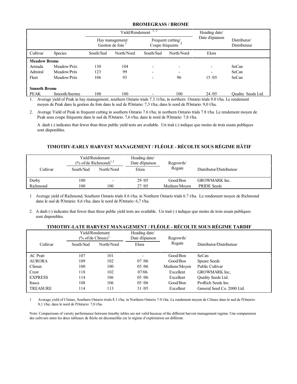#### **BROMEGRASS / BROME**

|                     |                |                                    | Yield/Rendement | 1, 2                                 | Heading date/ |                 |                              |
|---------------------|----------------|------------------------------------|-----------------|--------------------------------------|---------------|-----------------|------------------------------|
|                     |                | Hay management/<br>Gestion de foin |                 | Frequent cutting/<br>Coupe fréquente |               | Date d'épiaison | Distributor/<br>Distributeur |
| Cultivar            | <b>Species</b> | South/Sud                          | North/Nord      | South/Sud                            | North/Nord    | Elora           |                              |
| <b>Meadow Brome</b> |                |                                    |                 |                                      |               |                 |                              |
| Armada              | Meadow/Prés    | 130                                | 104             |                                      |               |                 | SeCan                        |
| Admiral             | Meadow/Prés    | 123                                | 99              | $\overline{\phantom{0}}$             |               |                 | SeCan                        |
| Fleet               | Meadow/Prés    | 106                                | 93              | $\overline{\phantom{0}}$             | 96            | 15/05           | SeCan                        |
| <b>Smooth Brome</b> |                |                                    |                 |                                      |               |                 |                              |
| PEAK                | Smooth/Inerme  | 100                                | 100             |                                      | 100           | 24/05           | <b>Ouality Seeds Ltd.</b>    |

1. Average yield of Peak in hay management, southern Ontario trials 7.3.1t/ha; in northern Ontario trials 9.0 t/ha. Le rendement moyen de Peak dans la gestion du foin dans le sud de l'Ontario: 7,3 t/ha; dans le nord de l'Ontario: 9,0 t/ha.

2. Average Yield of Peak in frequent cutting in southern Ontario 7.6 t/ha; in northern Ontario trials 7.8 t/ha. Le rendement moyen de Peak sous coupe fréquente dans le sud de l'Ontario: 7,6 t/ha; dans le nord de l'Ontario: 7,8 t/ha.

A dash (-) indicates that fewer than three public yield tests are available. Un trait (-) indique que moins de trois essais publiques sont disponibles.

# **TIMOTHY-EARLY HARVEST MANAGEMENT / FLÉOLE - RÉCOLTE SOUS RÉGIME HÂTIF**

|          | Yield/Rendement<br>$\frac{6}{2}$ of/de Richmond) <sup>1,2</sup> |                          | Heading date/<br>Date d'épiaison | Regrowth/    |                          |
|----------|-----------------------------------------------------------------|--------------------------|----------------------------------|--------------|--------------------------|
| Cultivar | South/Sud                                                       | North/Nord               | Elora                            | Regain       | Distributor/Distributeur |
| Derby    | 100                                                             | $\overline{\phantom{0}}$ | 29 / 05                          | Good/Bon     | <b>GROWMARK</b> Inc.     |
| Richmond | 100                                                             | 100                      | 27/05                            | Medium/Moven | <b>PRIDE</b> Seeds       |

1 Average yield of Richmond, Southern Ontario trials 8.6 t/ha; in Northern Ontario trials 6.7 t/ha. Le rendement moyen de Richmond dans le sud de l'Ontario: 8,6 t/ha; dans le nord de l'Ontario: 6,7 t/ha.

2. A dash (-) indicates that fewer than three public yield tests are available. Un trait (-) indique que moins de trois essais publiques sont disponibles.

#### **TIMOTHY-LATE HARVEST MANAGEMENT / FLÉOLE - RÉCOLTE SOUS RÉGIME TARDIF**

|                 | Yield/Rendement<br>$(\%$ of/de Climax) <sup>1</sup> |            | Heading date/<br>Date d'épiaison | Regrowth/    |                            |
|-----------------|-----------------------------------------------------|------------|----------------------------------|--------------|----------------------------|
| Cultivar        | South/Sud                                           | North/Nord | Elora                            | Regain       | Distributor/Distributeur   |
| <b>AC</b> Pratt | 107                                                 | 101        | $\overline{\phantom{0}}$         | Good/Bon     | SeCan                      |
| <b>AURORA</b>   | 109                                                 | 102        | 07/06                            | Good/Bon     | Speare Seeds               |
| Climax          | 100                                                 | 100        | 05/06                            | Medium/Moyen | Public Cultivar            |
| Crest           | 118                                                 | 102        | 07/06                            | Excellent    | GROWMARK Inc.              |
| <b>EXPRESS</b>  | 114                                                 | 106        | 0.5/06                           | Excellent    | Quality Seeds Ltd.         |
| Itasca          | 108                                                 | 106        | 05/06                            | Good/Bon     | ProRich Seeds Inc.         |
| <b>TREASURE</b> | 114                                                 | 113        | 31/05                            | Excellent    | General Seed Co. 2000 Ltd. |

1 Average yield of Climax, Southern Ontario trials 8.1 t/ha; in Northern Ontario 7.0 t/ha. Le rendement moyen de Climax dans le sud de l'Ontario: 8,1 t/ha; dans le nord de l'Ontario: 7,0 t/ha.

Note: Comparisons of variety performance between timothy tables are not valid because of the different harvest management regime. Une comparaison des cultivars entre les deux tableaux de fléole est déconseillée car le régime d'exploitation est différent.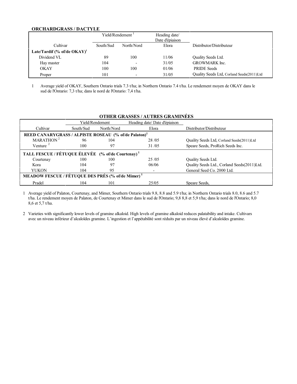#### **ORCHARDGRASS / DACTYLE**

|                                         | Yield/Rendement <sup>1</sup> |                          | Heading date/<br>Date d'épiaison |                                           |
|-----------------------------------------|------------------------------|--------------------------|----------------------------------|-------------------------------------------|
| Cultivar                                | South/Sud                    | North/Nord               | Elora                            | Distributor/Distributeur                  |
| Late/Tardif (% of/de OKAY) <sup>1</sup> |                              |                          |                                  |                                           |
| Dividend VL                             | 89                           | 100                      | 11/06                            | Quality Seeds Ltd.                        |
| Hay master                              | 104                          | $\overline{\phantom{0}}$ | 31/05                            | <b>GROWMARK</b> Inc.                      |
| OKAY                                    | 100                          | 100                      | 01/06                            | <b>PRIDE</b> Seeds                        |
| Proper                                  | 101                          | $\overline{\phantom{0}}$ | 31/05                            | Quality Seeds Ltd, Corland Seeds(2011)Ltd |

1 Average yield of OKAY, Southern Ontario trials 7.3 t/ha; in Northern Ontario 7.4 t/ha. Le rendement moyen de OKAY dans le sud de l'Ontario: 7,3 t/ha; dans le nord de l'Ontario: 7,4 t/ha.

#### **OTHER GRASSES / AUTRES GRAMINÉES**

|                                                                  | Yield/Rendement |            | Heading date/ Date d'épiaison |                                             |  |  |  |
|------------------------------------------------------------------|-----------------|------------|-------------------------------|---------------------------------------------|--|--|--|
| Cultivar                                                         | South/Sud       | North/Nord | Elora                         | Distributor/Distributeur                    |  |  |  |
| REED CANARYGRASS / ALPISTE ROSEAU (% of/de Palaton) <sup>1</sup> |                 |            |                               |                                             |  |  |  |
| MARATHON <sup>2</sup>                                            | 96              | 104        | 28/05                         | Quality Seeds Ltd, Corland Seeds(2011)Ltd   |  |  |  |
| Venture $2$                                                      | 100             | 97         | 31/05                         | Speare Seeds, ProRich Seeds Inc.            |  |  |  |
| TALL FESCUE / FÉTUQUE ÉLEVÉE (% of/de Courtenay) <sup>1</sup>    |                 |            |                               |                                             |  |  |  |
| Courtenay                                                        | 100             | 100        | 25/05                         | Quality Seeds Ltd.                          |  |  |  |
| Kora                                                             | 104             | 97         | 06/06                         | Quality Seeds Ltd., Corland Seeds(2011)Ltd. |  |  |  |
| <b>YUKON</b>                                                     | 104             | 95         |                               | General Seed Co. 2000 Ltd.                  |  |  |  |
| MEADOW FESCUE / FÉTUQUE DES PRÉS (% of/de Mimer) <sup>1</sup>    |                 |            |                               |                                             |  |  |  |
| Pradel                                                           | 104             | 101        | 25/05                         | Speare Seeds,                               |  |  |  |

1 Average yield of Palaton, Courtenay, and Mimer, Southern Ontario trials 9.8, 8.8 and 5.9 t/ha; in Northern Ontario trials 8.0, 8.6 and 5.7 t/ha. Le rendement moyen de Palaton, de Courtenay et Mimer dans le sud de l'Ontario; 9,8 8,8 et 5,9 t/ha; dans le nord de l'Ontario; 8,0 8,6 et 5,7 t/ha.

2 Varieties with significantly lower levels of gramine alkaloid. High levels of gramine alkaloid reduces palatability and intake. Cultivars avec un niveau inférieur d'alcaloïdes gramine. L'ingestion et l'appétabilité sont réduits par un niveau élevé d'alcaloïdes gramine.